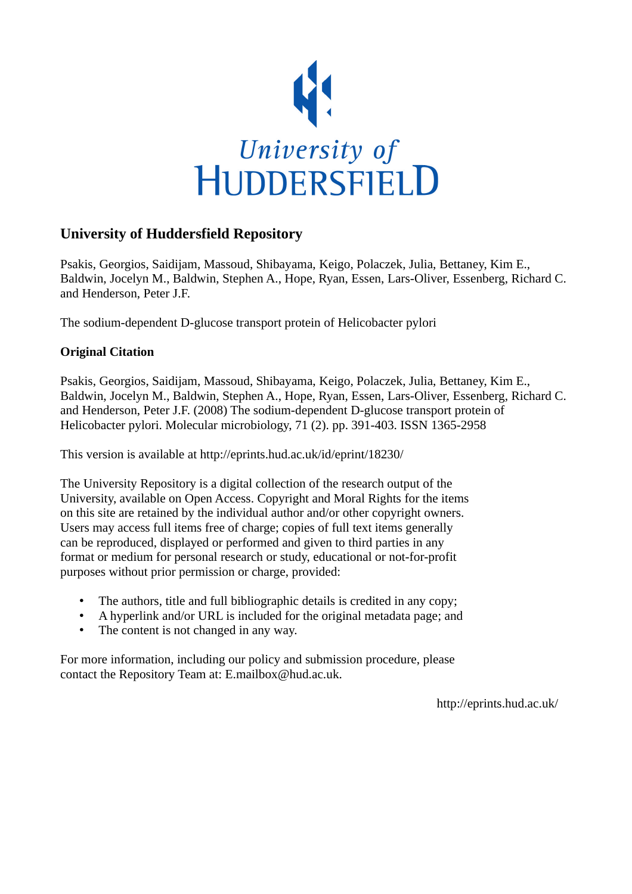

### **University of Huddersfield Repository**

Psakis, Georgios, Saidijam, Massoud, Shibayama, Keigo, Polaczek, Julia, Bettaney, Kim E., Baldwin, Jocelyn M., Baldwin, Stephen A., Hope, Ryan, Essen, Lars-Oliver, Essenberg, Richard C. and Henderson, Peter J.F.

The sodium-dependent D-glucose transport protein of Helicobacter pylori

#### **Original Citation**

Psakis, Georgios, Saidijam, Massoud, Shibayama, Keigo, Polaczek, Julia, Bettaney, Kim E., Baldwin, Jocelyn M., Baldwin, Stephen A., Hope, Ryan, Essen, Lars-Oliver, Essenberg, Richard C. and Henderson, Peter J.F. (2008) The sodium-dependent D-glucose transport protein of Helicobacter pylori. Molecular microbiology, 71 (2). pp. 391-403. ISSN 1365-2958

This version is available at http://eprints.hud.ac.uk/id/eprint/18230/

The University Repository is a digital collection of the research output of the University, available on Open Access. Copyright and Moral Rights for the items on this site are retained by the individual author and/or other copyright owners. Users may access full items free of charge; copies of full text items generally can be reproduced, displayed or performed and given to third parties in any format or medium for personal research or study, educational or not-for-profit purposes without prior permission or charge, provided:

- The authors, title and full bibliographic details is credited in any copy;
- A hyperlink and/or URL is included for the original metadata page; and
- The content is not changed in any way.

For more information, including our policy and submission procedure, please contact the Repository Team at: E.mailbox@hud.ac.uk.

http://eprints.hud.ac.uk/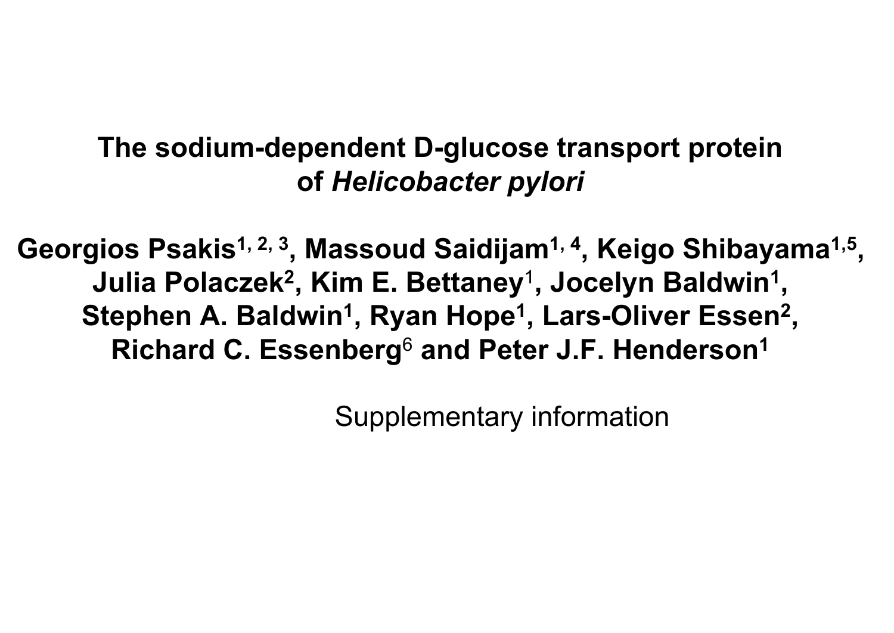# **The sodium-dependent D-glucose transport protein of** *Helicobacter pylori*

Georgios Psakis<sup>1, 2, 3</sup>, Massoud Saidijam<sup>1, 4</sup>, Keigo Shibayama<sup>1,5</sup>, **Julia Polaczek2 , Kim E. Bettaney**<sup>1</sup> **, Jocelyn Baldwin1 ,** Stephen A. Baldwin<sup>1</sup>, Ryan Hope<sup>1</sup>, Lars-Oliver Essen<sup>2</sup>, **Richard C. Essenberg**<sup>6</sup> **and Peter J.F. Henderson1**

Supplementary information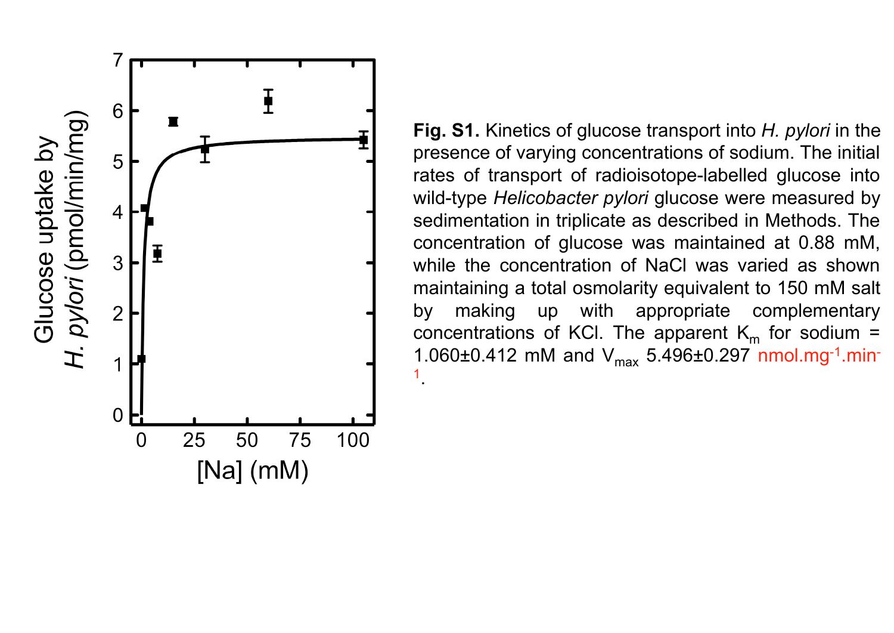

**Fig. S1.** Kinetics of glucose transport into *H. pylori* in the presence of varying concentrations of sodium. The initial rates of transport of radioisotope-labelled glucose into wild-type *Helicobacter pylori* glucose were measured by sedimentation in triplicate as described in Methods. The concentration of glucose was maintained at 0.88 mM, while the concentration of NaCl was varied as shown maintaining a total osmolarity equivalent to 150 mM salt by making up with appropriate complementary concentrations of KCl. The apparent  $K_m$  for sodium = 1.060 $\pm$ 0.412 mM and  $V_{\text{max}}$  5.496 $\pm$ 0.297 nmol.mg<sup>-1</sup>.min-1.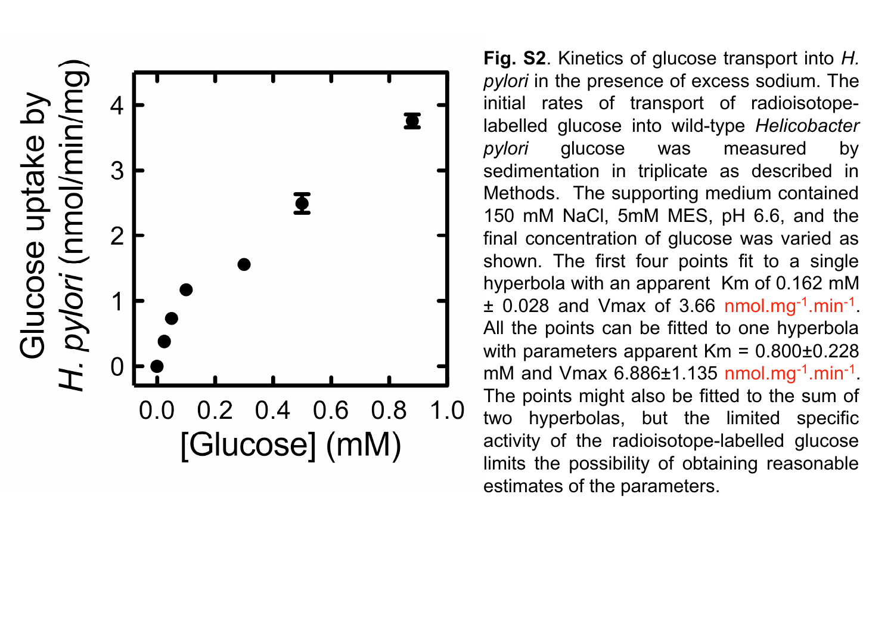

**Fig. S2**. Kinetics of glucose transport into *H. pylori* in the presence of excess sodium. The initial rates of transport of radioisotopelabelled glucose into wild-type *Helicobacter pylori* glucose was measured by sedimentation in triplicate as described in Methods. The supporting medium contained 150 mM NaCl, 5mM MES, pH 6.6, and the final concentration of glucose was varied as shown. The first four points fit to a single hyperbola with an apparent Km of 0.162 mM  $\pm$  0.028 and Vmax of 3.66 nmol.mg<sup>-1</sup>.min<sup>-1</sup>. All the points can be fitted to one hyperbola with parameters apparent  $Km = 0.800 \pm 0.228$ mM and Vmax  $6.886\pm1.135$  nmol.mg<sup>-1</sup>.min<sup>-1</sup>. The points might also be fitted to the sum of two hyperbolas, but the limited specific activity of the radioisotope-labelled glucose limits the possibility of obtaining reasonable estimates of the parameters.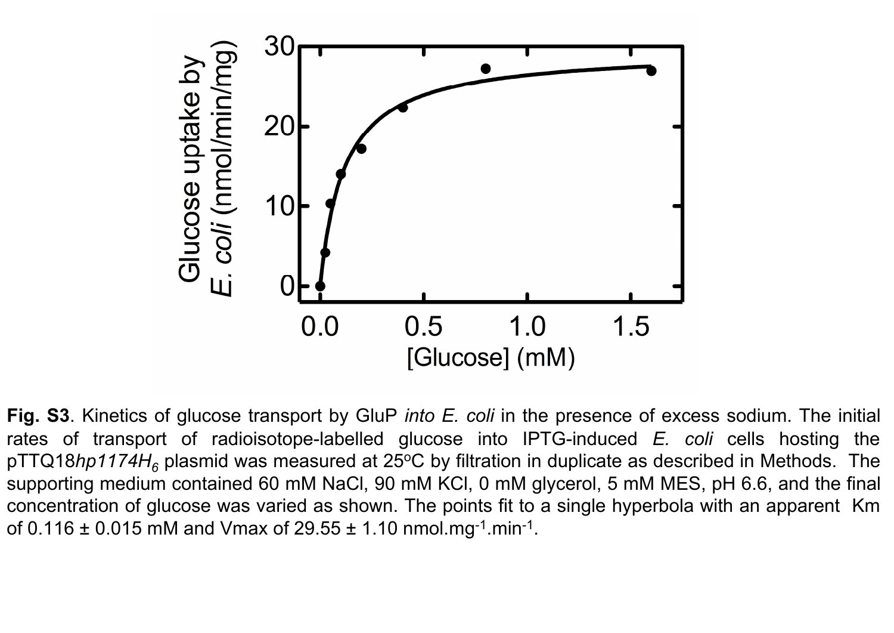

**Fig. S3**. Kinetics of glucose transport by GluP *into E. coli* in the presence of excess sodium. The initial rates of transport of radioisotope-labelled glucose into IPTG-induced *E. coli* cells hosting the pTTQ18hp1174H<sub>6</sub> plasmid was measured at 25°C by filtration in duplicate as described in Methods. The supporting medium contained 60 mM NaCl, 90 mM KCl, 0 mM glycerol, 5 mM MES, pH 6.6, and the final concentration of glucose was varied as shown. The points fit to a single hyperbola with an apparent Km of  $0.116 \pm 0.015$  mM and Vmax of  $29.55 \pm 1.10$  nmol.mg<sup>-1</sup>.min<sup>-1</sup>.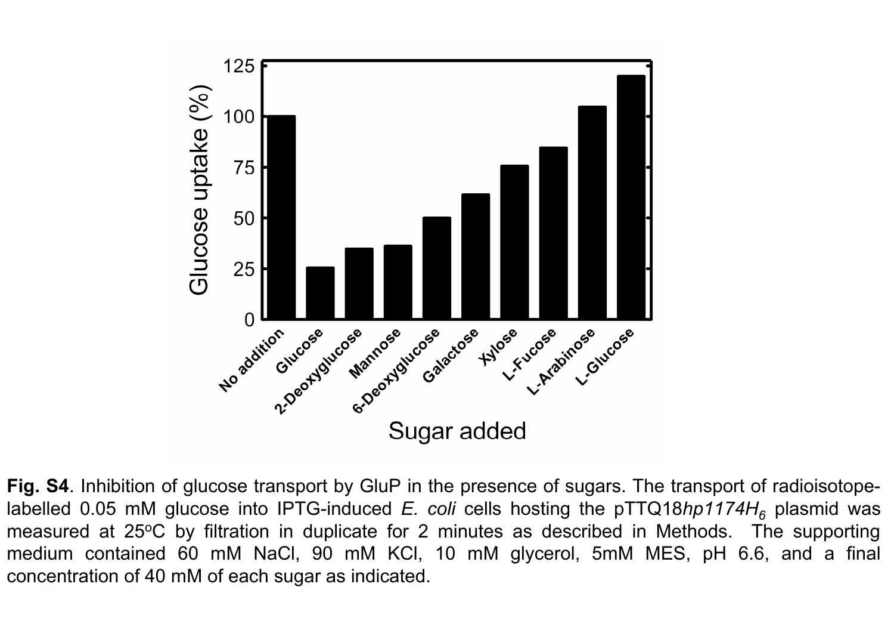

Fig. S4. Inhibition of glucose transport by GluP in the presence of sugars. The transport of radioisotopelabelled 0.05 mM glucose into IPTG-induced *E. coli* cells hosting the pTTQ18*hp1174H*<sub>6</sub> plasmid was measured at 25°C by filtration in duplicate for 2 minutes as described in Methods. The supporting medium contained 60 mM NaCl, 90 mM KCl, 10 mM glycerol, 5mM MES, pH 6.6, and a final concentration of 40 mM of each sugar as indicated.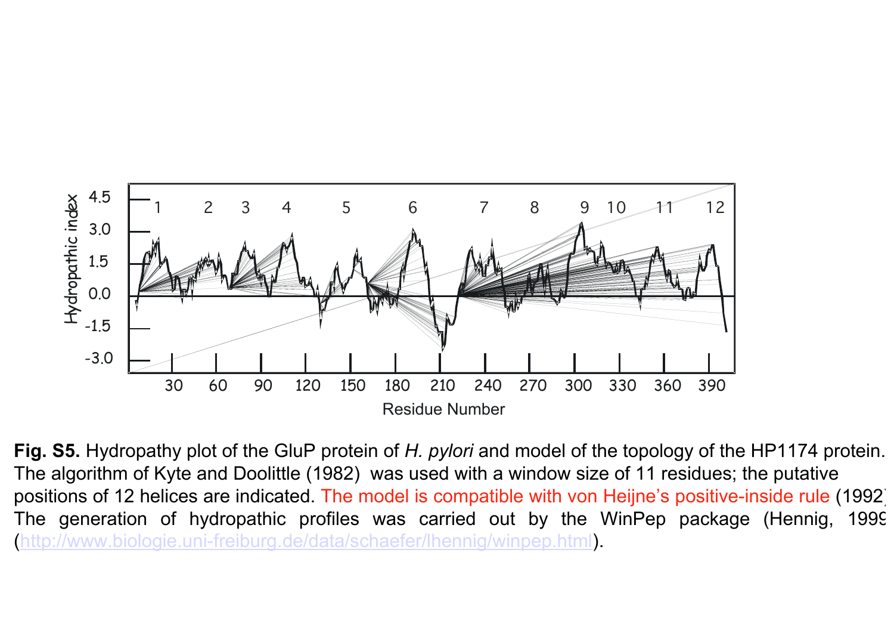

**Fig. S5.** Hydropathy plot of the GluP protein of *H. pylori* and model of the topology of the HP1174 protein. The algorithm of Kyte and Doolittle (1982) was used with a window size of 11 residues; the putative positions of 12 helices are indicated. The model is compatible with von Heijne's positive-inside rule (1992). The generation of hydropathic profiles was carried out by the WinPep package (Hennig, 1999) (http://www.biologie.uni-freiburg.de/data/schaefer/lhennig/winpep.html).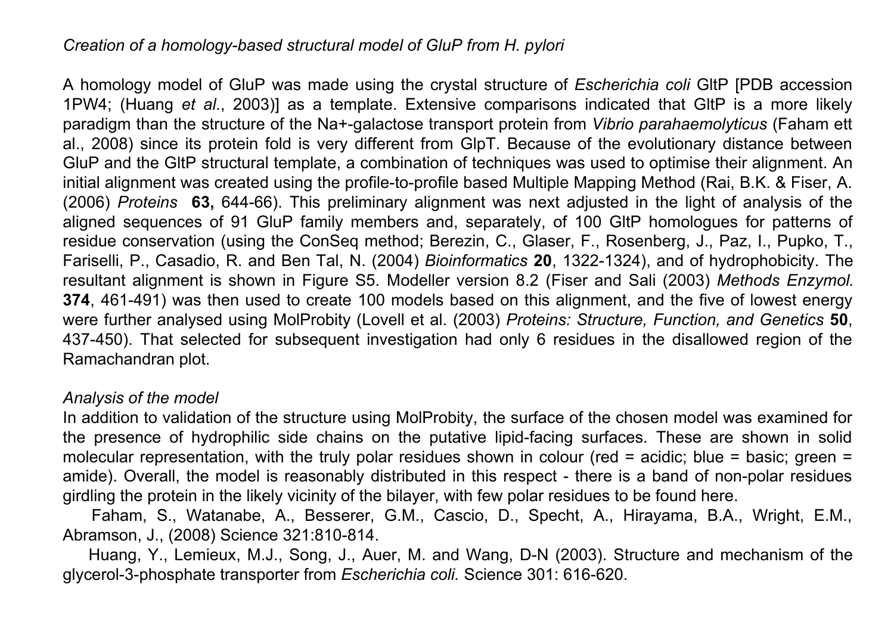## *Creation of a homology-based structural model of GluP from H. pylori*

A homology model of GluP was made using the crystal structure of *Escherichia coli* GltP [PDB accession 1PW4; (Huang *et al*., 2003)] as a template. Extensive comparisons indicated that GltP is a more likely paradigm than the structure of the Na+-galactose transport protein from *Vibrio parahaemolyticus* (Faham ett al., 2008) since its protein fold is very different from GlpT. Because of the evolutionary distance between GluP and the GltP structural template, a combination of techniques was used to optimise their alignment. An initial alignment was created using the profile-to-profile based Multiple Mapping Method (Rai, B.K. & Fiser, A. (2006) *Proteins* **63,** 644-66). This preliminary alignment was next adjusted in the light of analysis of the aligned sequences of 91 GluP family members and, separately, of 100 GltP homologues for patterns of residue conservation (using the ConSeq method; Berezin, C., Glaser, F., Rosenberg, J., Paz, I., Pupko, T., Fariselli, P., Casadio, R. and Ben Tal, N. (2004) *Bioinformatics* **20**, 1322-1324), and of hydrophobicity. The resultant alignment is shown in Figure S5. Modeller version 8.2 (Fiser and Sali (2003) *Methods Enzymol.* **374**, 461-491) was then used to create 100 models based on this alignment, and the five of lowest energy were further analysed using MolProbity (Lovell et al. (2003) *Proteins: Structure, Function, and Genetics* **50**, 437-450). That selected for subsequent investigation had only 6 residues in the disallowed region of the Ramachandran plot.

### *Analysis of the model*

In addition to validation of the structure using MolProbity, the surface of the chosen model was examined for the presence of hydrophilic side chains on the putative lipid-facing surfaces. These are shown in solid molecular representation, with the truly polar residues shown in colour (red = acidic; blue = basic; green = amide). Overall, the model is reasonably distributed in this respect - there is a band of non-polar residues girdling the protein in the likely vicinity of the bilayer, with few polar residues to be found here.

Faham, S., Watanabe, A., Besserer, G.M., Cascio, D., Specht, A., Hirayama, B.A., Wright, E.M., Abramson, J., (2008) Science 321:810-814.

Huang, Y., Lemieux, M.J., Song, J., Auer, M. and Wang, D-N (2003). Structure and mechanism of the glycerol-3-phosphate transporter from *Escherichia coli.* Science 301: 616-620.